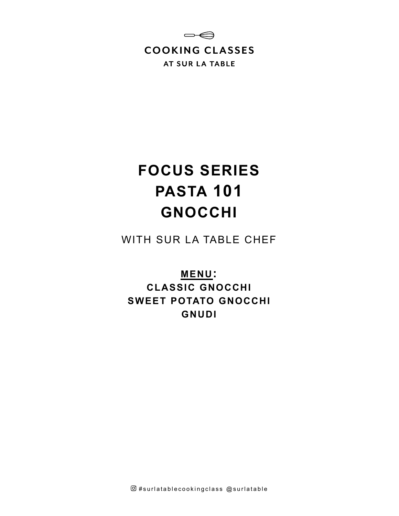

# **FOCUS SERIES PASTA 101 GNOCCHI**

WITH SUR LA TABLE CHEF

**MENU: CLASSIC GNOCCHI SWEET POTATO GNOCCHI GNUDI**

 $@$ #surlatablecookingclass  $@$ surlatable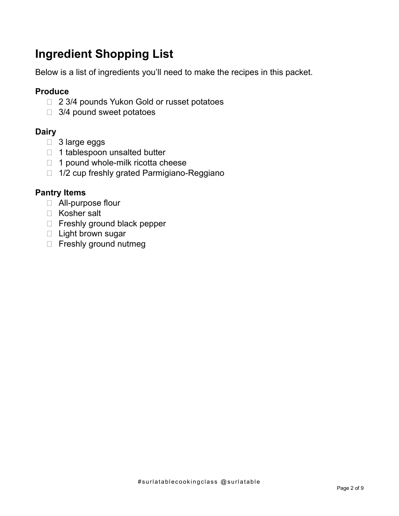# **Ingredient Shopping List**

Below is a list of ingredients you'll need to make the recipes in this packet.

# **Produce**

- □ 2 3/4 pounds Yukon Gold or russet potatoes
- □ 3/4 pound sweet potatoes

# **Dairy**

- □ 3 large eggs
- □ 1 tablespoon unsalted butter
- $\Box$  1 pound whole-milk ricotta cheese
- □ 1/2 cup freshly grated Parmigiano-Reggiano

# **Pantry Items**

- All-purpose flour
- □ Kosher salt
- Freshly ground black pepper
- □ Light brown sugar
- □ Freshly ground nutmeg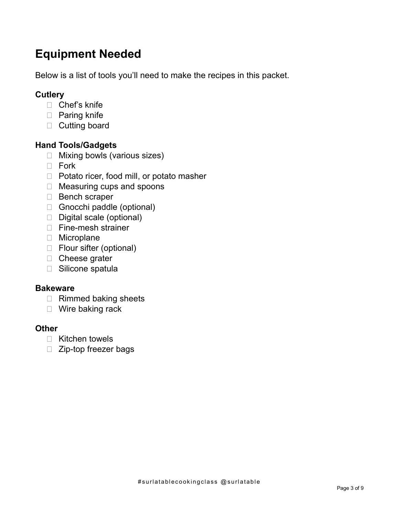# **Equipment Needed**

Below is a list of tools you'll need to make the recipes in this packet.

# **Cutlery**

- □ Chef's knife
- □ Paring knife
- □ Cutting board

## **Hand Tools/Gadgets**

- □ Mixing bowls (various sizes)
- $\Box$  Fork
- $\Box$  Potato ricer, food mill, or potato masher
- □ Measuring cups and spoons
- Bench scraper
- Gnocchi paddle (optional)
- Digital scale (optional)
- □ Fine-mesh strainer
- **D** Microplane
- □ Flour sifter (optional)
- □ Cheese grater
- □ Silicone spatula

#### **Bakeware**

- □ Rimmed baking sheets
- □ Wire baking rack

#### **Other**

- $\Box$  Kitchen towels
- □ Zip-top freezer bags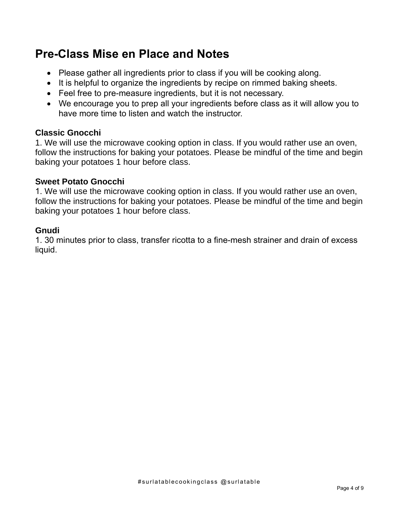# **Pre-Class Mise en Place and Notes**

- Please gather all ingredients prior to class if you will be cooking along.
- It is helpful to organize the ingredients by recipe on rimmed baking sheets.
- Feel free to pre-measure ingredients, but it is not necessary.
- We encourage you to prep all your ingredients before class as it will allow you to have more time to listen and watch the instructor.

#### **Classic Gnocchi**

1. We will use the microwave cooking option in class. If you would rather use an oven, follow the instructions for baking your potatoes. Please be mindful of the time and begin baking your potatoes 1 hour before class.

#### **Sweet Potato Gnocchi**

1. We will use the microwave cooking option in class. If you would rather use an oven, follow the instructions for baking your potatoes. Please be mindful of the time and begin baking your potatoes 1 hour before class.

#### **Gnudi**

1. 30 minutes prior to class, transfer ricotta to a fine-mesh strainer and drain of excess liquid.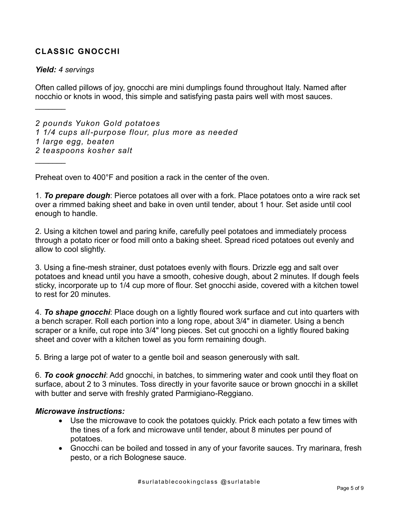## **CLASSIC GNOCCHI**

#### *Yield: 4 servings*

 $\frac{1}{2}$ 

 $\frac{1}{2}$ 

Often called pillows of joy, gnocchi are mini dumplings found throughout Italy. Named after nocchio or knots in wood, this simple and satisfying pasta pairs well with most sauces.

*2 pounds Yukon Gold potatoes 1 1/4 cups all-purpose flour, plus more as needed 1 large egg, beaten 2 teaspoons kosher salt*

Preheat oven to 400°F and position a rack in the center of the oven.

1. *To prepare dough*: Pierce potatoes all over with a fork. Place potatoes onto a wire rack set over a rimmed baking sheet and bake in oven until tender, about 1 hour. Set aside until cool enough to handle.

2. Using a kitchen towel and paring knife, carefully peel potatoes and immediately process through a potato ricer or food mill onto a baking sheet. Spread riced potatoes out evenly and allow to cool slightly.

3. Using a fine-mesh strainer, dust potatoes evenly with flours. Drizzle egg and salt over potatoes and knead until you have a smooth, cohesive dough, about 2 minutes. If dough feels sticky, incorporate up to 1/4 cup more of flour. Set gnocchi aside, covered with a kitchen towel to rest for 20 minutes.

4. *To shape gnocchi*: Place dough on a lightly floured work surface and cut into quarters with a bench scraper. Roll each portion into a long rope, about 3/4" in diameter. Using a bench scraper or a knife, cut rope into 3/4" long pieces. Set cut gnocchi on a lightly floured baking sheet and cover with a kitchen towel as you form remaining dough.

5. Bring a large pot of water to a gentle boil and season generously with salt.

6. *To cook gnocchi*: Add gnocchi, in batches, to simmering water and cook until they float on surface, about 2 to 3 minutes. Toss directly in your favorite sauce or brown gnocchi in a skillet with butter and serve with freshly grated Parmigiano-Reggiano.

#### *Microwave instructions:*

- Use the microwave to cook the potatoes quickly. Prick each potato a few times with the tines of a fork and microwave until tender, about 8 minutes per pound of potatoes.
- Gnocchi can be boiled and tossed in any of your favorite sauces. Try marinara, fresh pesto, or a rich Bolognese sauce.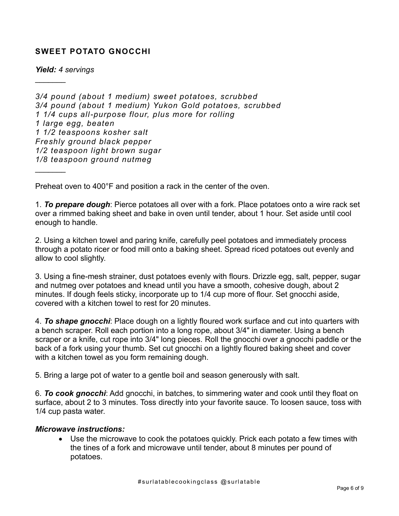## **SWEET POTATO GNOCCHI**

*Yield: 4 servings*

 $\frac{1}{2}$ 

 $\frac{1}{2}$ 

*3/4 pound (about 1 medium) sweet potatoes, scrubbed 3/4 pound (about 1 medium) Yukon Gold potatoes, scrubbed 1 1/4 cups all-purpose flour, plus more for rolling 1 large egg, beaten 1 1/2 teaspoons kosher salt Freshly ground black pepper 1/2 teaspoon light brown sugar 1/8 teaspoon ground nutmeg*

Preheat oven to 400°F and position a rack in the center of the oven.

1. *To prepare dough*: Pierce potatoes all over with a fork. Place potatoes onto a wire rack set over a rimmed baking sheet and bake in oven until tender, about 1 hour. Set aside until cool enough to handle.

2. Using a kitchen towel and paring knife, carefully peel potatoes and immediately process through a potato ricer or food mill onto a baking sheet. Spread riced potatoes out evenly and allow to cool slightly.

3. Using a fine-mesh strainer, dust potatoes evenly with flours. Drizzle egg, salt, pepper, sugar and nutmeg over potatoes and knead until you have a smooth, cohesive dough, about 2 minutes. If dough feels sticky, incorporate up to 1/4 cup more of flour. Set gnocchi aside, covered with a kitchen towel to rest for 20 minutes.

4. *To shape gnocchi*: Place dough on a lightly floured work surface and cut into quarters with a bench scraper. Roll each portion into a long rope, about 3/4" in diameter. Using a bench scraper or a knife, cut rope into 3/4" long pieces. Roll the gnocchi over a gnocchi paddle or the back of a fork using your thumb. Set cut gnocchi on a lightly floured baking sheet and cover with a kitchen towel as you form remaining dough.

5. Bring a large pot of water to a gentle boil and season generously with salt.

6. *To cook gnocchi*: Add gnocchi, in batches, to simmering water and cook until they float on surface, about 2 to 3 minutes. Toss directly into your favorite sauce. To loosen sauce, toss with 1/4 cup pasta water.

#### *Microwave instructions:*

• Use the microwave to cook the potatoes quickly. Prick each potato a few times with the tines of a fork and microwave until tender, about 8 minutes per pound of potatoes.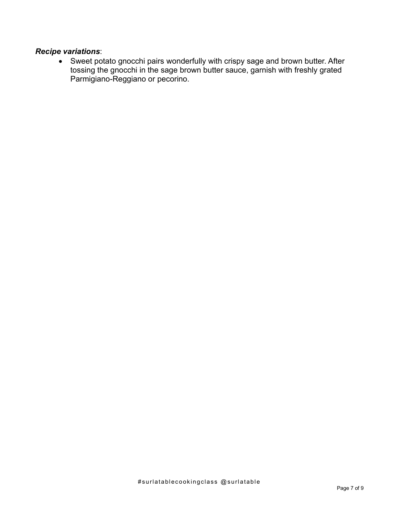## *Recipe variations*:

• Sweet potato gnocchi pairs wonderfully with crispy sage and brown butter. After tossing the gnocchi in the sage brown butter sauce, garnish with freshly grated Parmigiano-Reggiano or pecorino.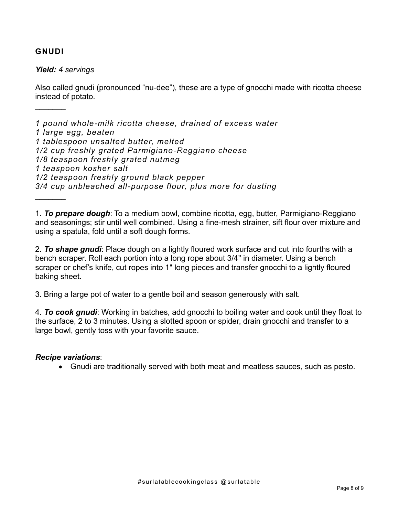#### **GNUDI**

 $\frac{1}{2}$ 

 $\frac{1}{2}$ 

*Yield: 4 servings*

Also called gnudi (pronounced "nu-dee"), these are a type of gnocchi made with ricotta cheese instead of potato.

*1 pound whole-milk ricotta cheese, drained of excess water 1 large egg, beaten 1 tablespoon unsalted butter, melted 1/2 cup freshly grated Parmigiano-Reggiano cheese 1/8 teaspoon freshly grated nutmeg 1 teaspoon kosher salt 1/2 teaspoon freshly ground black pepper 3/4 cup unbleached all-purpose flour, plus more for dusting*

1. *To prepare dough*: To a medium bowl, combine ricotta, egg, butter, Parmigiano-Reggiano and seasonings; stir until well combined. Using a fine-mesh strainer, sift flour over mixture and using a spatula, fold until a soft dough forms.

2. *To shape gnudi*: Place dough on a lightly floured work surface and cut into fourths with a bench scraper. Roll each portion into a long rope about 3/4" in diameter. Using a bench scraper or chef's knife, cut ropes into 1" long pieces and transfer gnocchi to a lightly floured baking sheet.

3. Bring a large pot of water to a gentle boil and season generously with salt.

4. *To cook gnudi*: Working in batches, add gnocchi to boiling water and cook until they float to the surface, 2 to 3 minutes. Using a slotted spoon or spider, drain gnocchi and transfer to a large bowl, gently toss with your favorite sauce.

#### *Recipe variations*:

• Gnudi are traditionally served with both meat and meatless sauces, such as pesto.